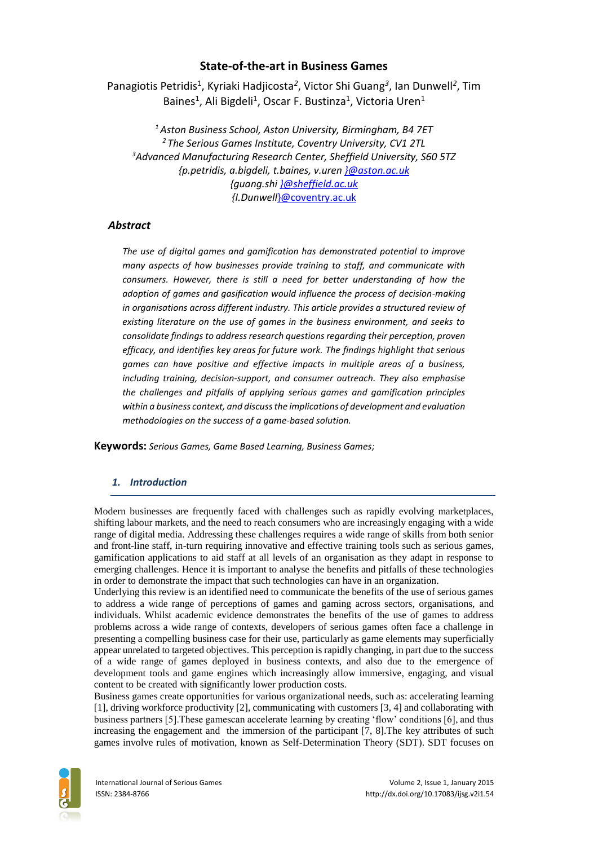# **State-of-the-art in Business Games**

Panagiotis Petridis<sup>1</sup>, Kyriaki Hadjicosta<sup>2</sup>, Victor Shi Guang<sup>3</sup>, Ian Dunwell<sup>2</sup>, Tim Baines<sup>1</sup>, Ali Bigdeli<sup>1</sup>, Oscar F. Bustinza<sup>1</sup>, Victoria Uren<sup>1</sup>

*<sup>1</sup>Aston Business School, Aston University, Birmingham, B4 7ET <sup>2</sup> The Serious Games Institute, Coventry University, CV1 2TL <sup>3</sup>Advanced Manufacturing Research Center, Sheffield University, S60 5TZ {p.petridis, a.bigdeli, t.baines, v.uren [}@aston.ac.uk](mailto:%7d@aston.ac.uk) {guang.sh[i }@sheffield.ac.uk](mailto:%7d@sheffield.ac.uk) {I.Dunwell*}@coventry.ac.uk

## *Abstract*

*The use of digital games and gamification has demonstrated potential to improve many aspects of how businesses provide training to staff, and communicate with consumers. However, there is still a need for better understanding of how the adoption of games and gasification would influence the process of decision-making in organisations across different industry. This article provides a structured review of existing literature on the use of games in the business environment, and seeks to consolidate findings to address research questions regarding their perception, proven efficacy, and identifies key areas for future work. The findings highlight that serious games can have positive and effective impacts in multiple areas of a business, including training, decision-support, and consumer outreach. They also emphasise the challenges and pitfalls of applying serious games and gamification principles within a business context, and discuss the implications of development and evaluation methodologies on the success of a game-based solution.*

**Keywords:** *Serious Games, Game Based Learning, Business Games;*

## *1. Introduction*

Modern businesses are frequently faced with challenges such as rapidly evolving marketplaces, shifting labour markets, and the need to reach consumers who are increasingly engaging with a wide range of digital media. Addressing these challenges requires a wide range of skills from both senior and front-line staff, in-turn requiring innovative and effective training tools such as serious games, gamification applications to aid staff at all levels of an organisation as they adapt in response to emerging challenges. Hence it is important to analyse the benefits and pitfalls of these technologies in order to demonstrate the impact that such technologies can have in an organization.

Underlying this review is an identified need to communicate the benefits of the use of serious games to address a wide range of perceptions of games and gaming across sectors, organisations, and individuals. Whilst academic evidence demonstrates the benefits of the use of games to address problems across a wide range of contexts, developers of serious games often face a challenge in presenting a compelling business case for their use, particularly as game elements may superficially appear unrelated to targeted objectives. This perception is rapidly changing, in part due to the success of a wide range of games deployed in business contexts, and also due to the emergence of development tools and game engines which increasingly allow immersive, engaging, and visual content to be created with significantly lower production costs.

Business games create opportunities for various organizational needs, such as: accelerating learning [1], driving workforce productivity [2], communicating with customers [3, 4] and collaborating with business partners [5].These gamescan accelerate learning by creating 'flow' conditions [6], and thus increasing the engagement and the immersion of the participant [7, 8].The key attributes of such games involve rules of motivation, known as Self-Determination Theory (SDT). SDT focuses on

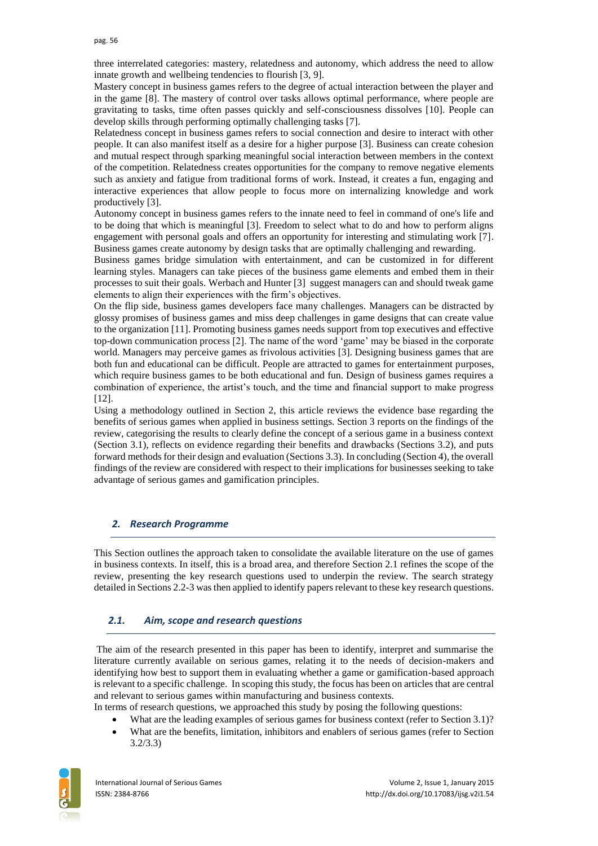three interrelated categories: mastery, relatedness and autonomy, which address the need to allow innate growth and wellbeing tendencies to flourish [3, 9].

Mastery concept in business games refers to the degree of actual interaction between the player and in the game [8]. The mastery of control over tasks allows optimal performance, where people are gravitating to tasks, time often passes quickly and self-consciousness dissolves [10]. People can develop skills through performing optimally challenging tasks [7].

Relatedness concept in business games refers to social connection and desire to interact with other people. It can also manifest itself as a desire for a higher purpose [3]. Business can create cohesion and mutual respect through sparking meaningful social interaction between members in the context of the competition. Relatedness creates opportunities for the company to remove negative elements such as anxiety and fatigue from traditional forms of work. Instead, it creates a fun, engaging and interactive experiences that allow people to focus more on internalizing knowledge and work productively [3].

Autonomy concept in business games refers to the innate need to feel in command of one's life and to be doing that which is meaningful [3]. Freedom to select what to do and how to perform aligns engagement with personal goals and offers an opportunity for interesting and stimulating work [7]. Business games create autonomy by design tasks that are optimally challenging and rewarding.

Business games bridge simulation with entertainment, and can be customized in for different learning styles. Managers can take pieces of the business game elements and embed them in their processes to suit their goals. Werbach and Hunter [3] suggest managers can and should tweak game elements to align their experiences with the firm's objectives.

On the flip side, business games developers face many challenges. Managers can be distracted by glossy promises of business games and miss deep challenges in game designs that can create value to the organization [11]. Promoting business games needs support from top executives and effective top-down communication process [2]. The name of the word 'game' may be biased in the corporate world. Managers may perceive games as frivolous activities [3]. Designing business games that are both fun and educational can be difficult. People are attracted to games for entertainment purposes, which require business games to be both educational and fun. Design of business games requires a combination of experience, the artist's touch, and the time and financial support to make progress [12].

Using a methodology outlined in Section 2, this article reviews the evidence base regarding the benefits of serious games when applied in business settings. Section 3 reports on the findings of the review, categorising the results to clearly define the concept of a serious game in a business context (Section 3.1), reflects on evidence regarding their benefits and drawbacks (Sections 3.2), and puts forward methods for their design and evaluation (Sections 3.3). In concluding (Section 4), the overall findings of the review are considered with respect to their implications for businesses seeking to take advantage of serious games and gamification principles.

### *2. Research Programme*

This Section outlines the approach taken to consolidate the available literature on the use of games in business contexts. In itself, this is a broad area, and therefore Section 2.1 refines the scope of the review, presenting the key research questions used to underpin the review. The search strategy detailed in Sections 2.2-3 was then applied to identify papers relevant to these key research questions.

### *2.1. Aim, scope and research questions*

The aim of the research presented in this paper has been to identify, interpret and summarise the literature currently available on serious games, relating it to the needs of decision-makers and identifying how best to support them in evaluating whether a game or gamification-based approach is relevant to a specific challenge. In scoping this study, the focus has been on articles that are central and relevant to serious games within manufacturing and business contexts.

In terms of research questions, we approached this study by posing the following questions:

- What are the leading examples of serious games for business context (refer to Section 3.1)?
- What are the benefits, limitation, inhibitors and enablers of serious games (refer to Section 3.2/3.3)

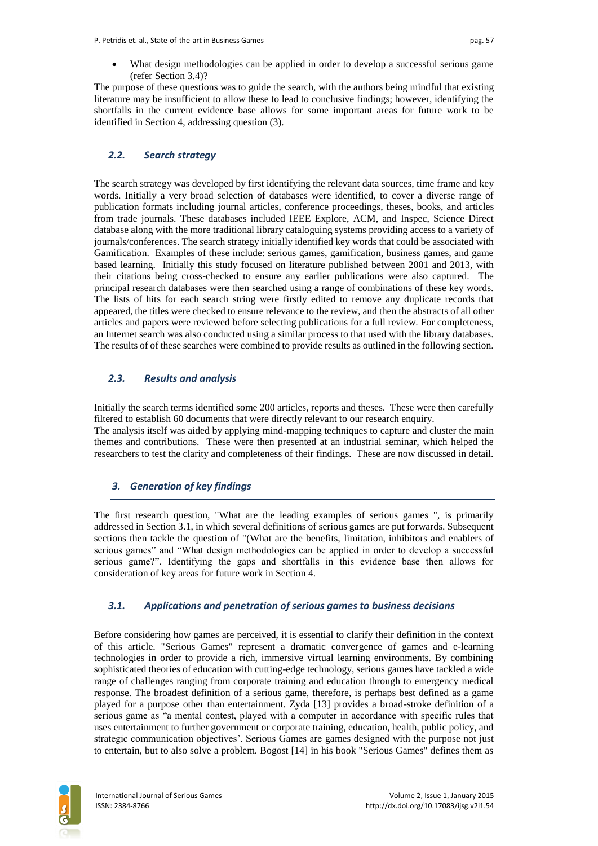What design methodologies can be applied in order to develop a successful serious game (refer Section 3.4)?

The purpose of these questions was to guide the search, with the authors being mindful that existing literature may be insufficient to allow these to lead to conclusive findings; however, identifying the shortfalls in the current evidence base allows for some important areas for future work to be identified in Section 4, addressing question (3).

### *2.2. Search strategy*

The search strategy was developed by first identifying the relevant data sources, time frame and key words. Initially a very broad selection of databases were identified, to cover a diverse range of publication formats including journal articles, conference proceedings, theses, books, and articles from trade journals. These databases included IEEE Explore, ACM, and Inspec, Science Direct database along with the more traditional library cataloguing systems providing access to a variety of journals/conferences. The search strategy initially identified key words that could be associated with Gamification. Examples of these include: serious games, gamification, business games, and game based learning. Initially this study focused on literature published between 2001 and 2013, with their citations being cross-checked to ensure any earlier publications were also captured. The principal research databases were then searched using a range of combinations of these key words. The lists of hits for each search string were firstly edited to remove any duplicate records that appeared, the titles were checked to ensure relevance to the review, and then the abstracts of all other articles and papers were reviewed before selecting publications for a full review. For completeness, an Internet search was also conducted using a similar process to that used with the library databases. The results of of these searches were combined to provide results as outlined in the following section.

## *2.3. Results and analysis*

Initially the search terms identified some 200 articles, reports and theses. These were then carefully filtered to establish 60 documents that were directly relevant to our research enquiry. The analysis itself was aided by applying mind-mapping techniques to capture and cluster the main themes and contributions. These were then presented at an industrial seminar, which helped the researchers to test the clarity and completeness of their findings. These are now discussed in detail.

## *3. Generation of key findings*

The first research question, "What are the leading examples of serious games ", is primarily addressed in Section 3.1, in which several definitions of serious games are put forwards. Subsequent sections then tackle the question of "(What are the benefits, limitation, inhibitors and enablers of serious games" and "What design methodologies can be applied in order to develop a successful serious game?". Identifying the gaps and shortfalls in this evidence base then allows for consideration of key areas for future work in Section 4.

### *3.1. Applications and penetration of serious games to business decisions*

Before considering how games are perceived, it is essential to clarify their definition in the context of this article. "Serious Games" represent a dramatic convergence of games and e-learning technologies in order to provide a rich, immersive virtual learning environments. By combining sophisticated theories of education with cutting-edge technology, serious games have tackled a wide range of challenges ranging from corporate training and education through to emergency medical response. The broadest definition of a serious game, therefore, is perhaps best defined as a game played for a purpose other than entertainment. Zyda [13] provides a broad-stroke definition of a serious game as "a mental contest, played with a computer in accordance with specific rules that uses entertainment to further government or corporate training, education, health, public policy, and strategic communication objectives'. Serious Games are games designed with the purpose not just to entertain, but to also solve a problem. Bogost [14] in his book "Serious Games" defines them as

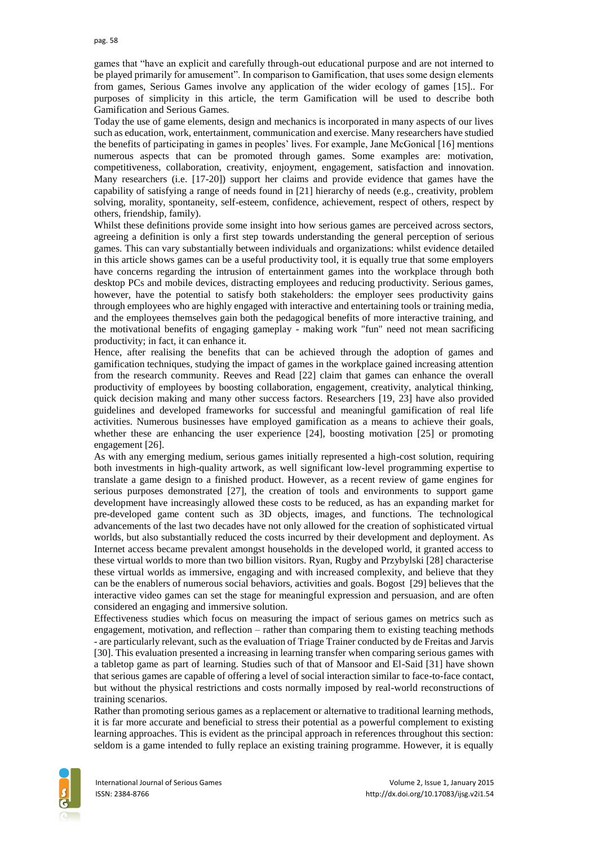games that "have an explicit and carefully through-out educational purpose and are not interned to be played primarily for amusement". In comparison to Gamification, that uses some design elements from games, Serious Games involve any application of the wider ecology of games [15].. For purposes of simplicity in this article, the term Gamification will be used to describe both Gamification and Serious Games.

Today the use of game elements, design and mechanics is incorporated in many aspects of our lives such as education, work, entertainment, communication and exercise. Many researchers have studied the benefits of participating in games in peoples' lives. For example, Jane McGonical [16] mentions numerous aspects that can be promoted through games. Some examples are: motivation, competitiveness, collaboration, creativity, enjoyment, engagement, satisfaction and innovation. Many researchers (i.e. [17-20]) support her claims and provide evidence that games have the capability of satisfying a range of needs found in [21] hierarchy of needs (e.g., creativity, problem solving, morality, spontaneity, self-esteem, confidence, achievement, respect of others, respect by others, friendship, family).

Whilst these definitions provide some insight into how serious games are perceived across sectors, agreeing a definition is only a first step towards understanding the general perception of serious games. This can vary substantially between individuals and organizations: whilst evidence detailed in this article shows games can be a useful productivity tool, it is equally true that some employers have concerns regarding the intrusion of entertainment games into the workplace through both desktop PCs and mobile devices, distracting employees and reducing productivity. Serious games, however, have the potential to satisfy both stakeholders: the employer sees productivity gains through employees who are highly engaged with interactive and entertaining tools or training media, and the employees themselves gain both the pedagogical benefits of more interactive training, and the motivational benefits of engaging gameplay - making work "fun" need not mean sacrificing productivity; in fact, it can enhance it.

Hence, after realising the benefits that can be achieved through the adoption of games and gamification techniques, studying the impact of games in the workplace gained increasing attention from the research community. Reeves and Read [22] claim that games can enhance the overall productivity of employees by boosting collaboration, engagement, creativity, analytical thinking, quick decision making and many other success factors. Researchers [19, 23] have also provided guidelines and developed frameworks for successful and meaningful gamification of real life activities. Numerous businesses have employed gamification as a means to achieve their goals, whether these are enhancing the user experience [24], boosting motivation [25] or promoting engagement [26].

As with any emerging medium, serious games initially represented a high-cost solution, requiring both investments in high-quality artwork, as well significant low-level programming expertise to translate a game design to a finished product. However, as a recent review of game engines for serious purposes demonstrated [27], the creation of tools and environments to support game development have increasingly allowed these costs to be reduced, as has an expanding market for pre-developed game content such as 3D objects, images, and functions. The technological advancements of the last two decades have not only allowed for the creation of sophisticated virtual worlds, but also substantially reduced the costs incurred by their development and deployment. As Internet access became prevalent amongst households in the developed world, it granted access to these virtual worlds to more than two billion visitors. Ryan, Rugby and Przybylski [28] characterise these virtual worlds as immersive, engaging and with increased complexity, and believe that they can be the enablers of numerous social behaviors, activities and goals. Bogost [29] believes that the interactive video games can set the stage for meaningful expression and persuasion, and are often considered an engaging and immersive solution.

Effectiveness studies which focus on measuring the impact of serious games on metrics such as engagement, motivation, and reflection – rather than comparing them to existing teaching methods - are particularly relevant, such as the evaluation of Triage Trainer conducted by de Freitas and Jarvis [30]. This evaluation presented a increasing in learning transfer when comparing serious games with a tabletop game as part of learning. Studies such of that of Mansoor and El-Said [31] have shown that serious games are capable of offering a level of social interaction similar to face-to-face contact, but without the physical restrictions and costs normally imposed by real-world reconstructions of training scenarios.

Rather than promoting serious games as a replacement or alternative to traditional learning methods, it is far more accurate and beneficial to stress their potential as a powerful complement to existing learning approaches. This is evident as the principal approach in references throughout this section: seldom is a game intended to fully replace an existing training programme. However, it is equally

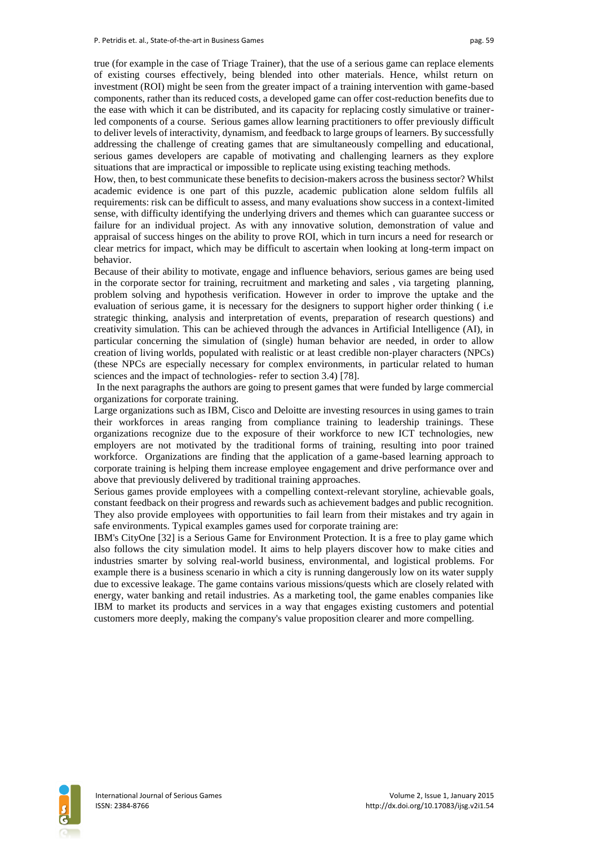true (for example in the case of Triage Trainer), that the use of a serious game can replace elements of existing courses effectively, being blended into other materials. Hence, whilst return on investment (ROI) might be seen from the greater impact of a training intervention with game-based components, rather than its reduced costs, a developed game can offer cost-reduction benefits due to the ease with which it can be distributed, and its capacity for replacing costly simulative or trainerled components of a course. Serious games allow learning practitioners to offer previously difficult to deliver levels of interactivity, dynamism, and feedback to large groups of learners. By successfully addressing the challenge of creating games that are simultaneously compelling and educational, serious games developers are capable of motivating and challenging learners as they explore situations that are impractical or impossible to replicate using existing teaching methods.

How, then, to best communicate these benefits to decision-makers across the business sector? Whilst academic evidence is one part of this puzzle, academic publication alone seldom fulfils all requirements: risk can be difficult to assess, and many evaluations show success in a context-limited sense, with difficulty identifying the underlying drivers and themes which can guarantee success or failure for an individual project. As with any innovative solution, demonstration of value and appraisal of success hinges on the ability to prove ROI, which in turn incurs a need for research or clear metrics for impact, which may be difficult to ascertain when looking at long-term impact on behavior.

Because of their ability to motivate, engage and influence behaviors, serious games are being used in the corporate sector for training, recruitment and marketing and sales , via targeting planning, problem solving and hypothesis verification. However in order to improve the uptake and the evaluation of serious game, it is necessary for the designers to support higher order thinking ( i.e strategic thinking, analysis and interpretation of events, preparation of research questions) and creativity simulation. This can be achieved through the advances in Artificial Intelligence (AI), in particular concerning the simulation of (single) human behavior are needed, in order to allow creation of living worlds, populated with realistic or at least credible non‐player characters (NPCs) (these NPCs are especially necessary for complex environments, in particular related to human sciences and the impact of technologies- refer to section 3.4) [78].

In the next paragraphs the authors are going to present games that were funded by large commercial organizations for corporate training.

Large organizations such as IBM, Cisco and Deloitte are investing resources in using games to train their workforces in areas ranging from compliance training to leadership trainings. These organizations recognize due to the exposure of their workforce to new ICT technologies, new employers are not motivated by the traditional forms of training, resulting into poor trained workforce. Organizations are finding that the application of a game-based learning approach to corporate training is helping them increase employee engagement and drive performance over and above that previously delivered by traditional training approaches.

Serious games provide employees with a compelling context-relevant storyline, achievable goals, constant feedback on their progress and rewards such as achievement badges and public recognition. They also provide employees with opportunities to fail learn from their mistakes and try again in safe environments. Typical examples games used for corporate training are:

IBM's CityOne [32] is a Serious Game for Environment Protection. It is a free to play game which also follows the city simulation model. It aims to help players discover how to make cities and industries smarter by solving real-world business, environmental, and logistical problems. For example there is a business scenario in which a city is running dangerously low on its water supply due to excessive leakage. The game contains various missions/quests which are closely related with energy, water banking and retail industries. As a marketing tool, the game enables companies like IBM to market its products and services in a way that engages existing customers and potential customers more deeply, making the company's value proposition clearer and more compelling.

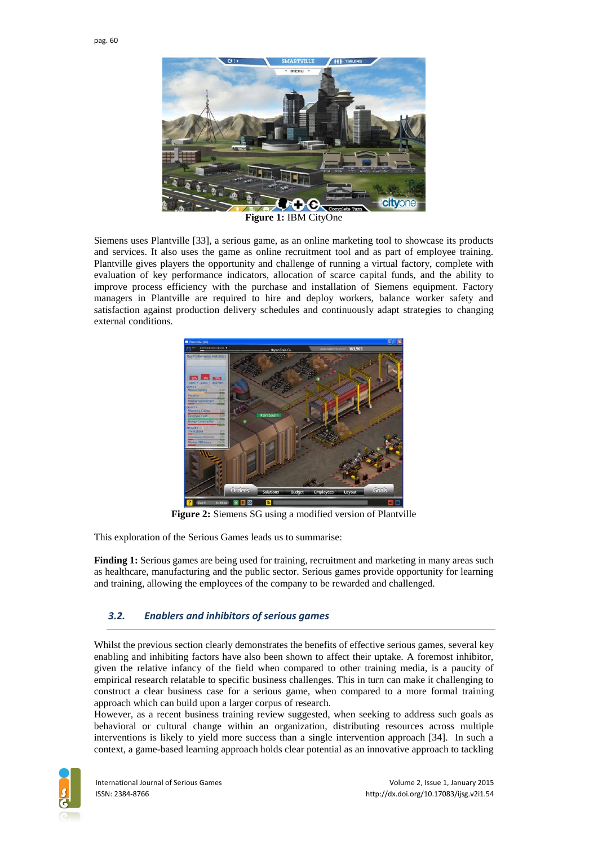

**Figure 1:** IBM CityOne

Siemens uses Plantville [33], a serious game, as an online marketing tool to showcase its products and services. It also uses the game as online recruitment tool and as part of employee training. Plantville gives players the opportunity and challenge of running a virtual factory, complete with evaluation of key performance indicators, allocation of scarce capital funds, and the ability to improve process efficiency with the purchase and installation of Siemens equipment. Factory managers in Plantville are required to hire and deploy workers, balance worker safety and satisfaction against production delivery schedules and continuously adapt strategies to changing external conditions.



**Figure 2:** Siemens SG using a modified version of Plantville

This exploration of the Serious Games leads us to summarise:

**Finding 1:** Serious games are being used for training, recruitment and marketing in many areas such as healthcare, manufacturing and the public sector. Serious games provide opportunity for learning and training, allowing the employees of the company to be rewarded and challenged.

### *3.2. Enablers and inhibitors of serious games*

Whilst the previous section clearly demonstrates the benefits of effective serious games, several key enabling and inhibiting factors have also been shown to affect their uptake. A foremost inhibitor, given the relative infancy of the field when compared to other training media, is a paucity of empirical research relatable to specific business challenges. This in turn can make it challenging to construct a clear business case for a serious game, when compared to a more formal training approach which can build upon a larger corpus of research.

However, as a recent business training review suggested, when seeking to address such goals as behavioral or cultural change within an organization, distributing resources across multiple interventions is likely to yield more success than a single intervention approach [34]. In such a context, a game-based learning approach holds clear potential as an innovative approach to tackling

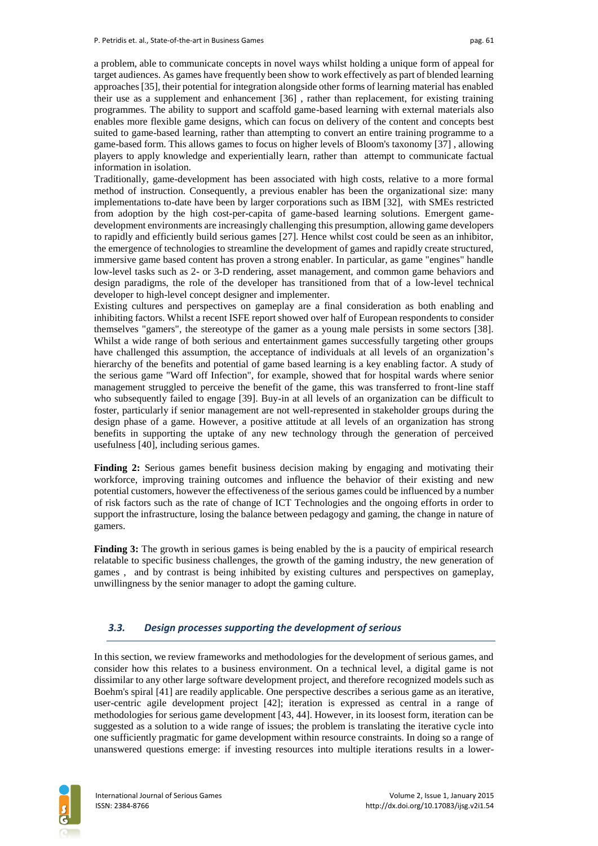a problem, able to communicate concepts in novel ways whilst holding a unique form of appeal for target audiences. As games have frequently been show to work effectively as part of blended learning approaches [35], their potential for integration alongside other forms of learning material has enabled their use as a supplement and enhancement [36] , rather than replacement, for existing training programmes. The ability to support and scaffold game-based learning with external materials also enables more flexible game designs, which can focus on delivery of the content and concepts best suited to game-based learning, rather than attempting to convert an entire training programme to a game-based form. This allows games to focus on higher levels of Bloom's taxonomy [37] , allowing players to apply knowledge and experientially learn, rather than attempt to communicate factual information in isolation.

Traditionally, game-development has been associated with high costs, relative to a more formal method of instruction. Consequently, a previous enabler has been the organizational size: many implementations to-date have been by larger corporations such as IBM [32], with SMEs restricted from adoption by the high cost-per-capita of game-based learning solutions. Emergent gamedevelopment environments are increasingly challenging this presumption, allowing game developers to rapidly and efficiently build serious games [27]. Hence whilst cost could be seen as an inhibitor, the emergence of technologies to streamline the development of games and rapidly create structured, immersive game based content has proven a strong enabler. In particular, as game "engines" handle low-level tasks such as 2- or 3-D rendering, asset management, and common game behaviors and design paradigms, the role of the developer has transitioned from that of a low-level technical developer to high-level concept designer and implementer.

Existing cultures and perspectives on gameplay are a final consideration as both enabling and inhibiting factors. Whilst a recent ISFE report showed over half of European respondents to consider themselves "gamers", the stereotype of the gamer as a young male persists in some sectors [38]. Whilst a wide range of both serious and entertainment games successfully targeting other groups have challenged this assumption, the acceptance of individuals at all levels of an organization's hierarchy of the benefits and potential of game based learning is a key enabling factor. A study of the serious game "Ward off Infection", for example, showed that for hospital wards where senior management struggled to perceive the benefit of the game, this was transferred to front-line staff who subsequently failed to engage [39]. Buy-in at all levels of an organization can be difficult to foster, particularly if senior management are not well-represented in stakeholder groups during the design phase of a game. However, a positive attitude at all levels of an organization has strong benefits in supporting the uptake of any new technology through the generation of perceived usefulness [40], including serious games.

**Finding 2:** Serious games benefit business decision making by engaging and motivating their workforce, improving training outcomes and influence the behavior of their existing and new potential customers, however the effectiveness of the serious games could be influenced by a number of risk factors such as the rate of change of ICT Technologies and the ongoing efforts in order to support the infrastructure, losing the balance between pedagogy and gaming, the change in nature of gamers.

**Finding 3:** The growth in serious games is being enabled by the is a paucity of empirical research relatable to specific business challenges, the growth of the gaming industry, the new generation of games , and by contrast is being inhibited by existing cultures and perspectives on gameplay, unwillingness by the senior manager to adopt the gaming culture.

#### *3.3. Design processes supporting the development of serious*

In this section, we review frameworks and methodologies for the development of serious games, and consider how this relates to a business environment. On a technical level, a digital game is not dissimilar to any other large software development project, and therefore recognized models such as Boehm's spiral [41] are readily applicable. One perspective describes a serious game as an iterative, user-centric agile development project [42]; iteration is expressed as central in a range of methodologies for serious game development [43, 44]. However, in its loosest form, iteration can be suggested as a solution to a wide range of issues; the problem is translating the iterative cycle into one sufficiently pragmatic for game development within resource constraints. In doing so a range of unanswered questions emerge: if investing resources into multiple iterations results in a lower-

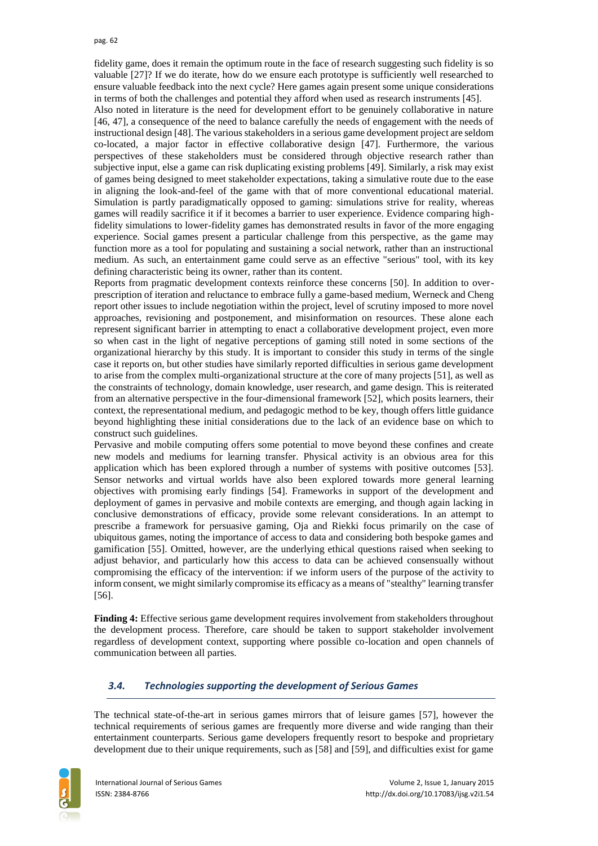fidelity game, does it remain the optimum route in the face of research suggesting such fidelity is so valuable [27]? If we do iterate, how do we ensure each prototype is sufficiently well researched to ensure valuable feedback into the next cycle? Here games again present some unique considerations in terms of both the challenges and potential they afford when used as research instruments [45].

Also noted in literature is the need for development effort to be genuinely collaborative in nature [46, 47], a consequence of the need to balance carefully the needs of engagement with the needs of instructional design [48]. The various stakeholders in a serious game development project are seldom co-located, a major factor in effective collaborative design [47]. Furthermore, the various perspectives of these stakeholders must be considered through objective research rather than subjective input, else a game can risk duplicating existing problems [49]. Similarly, a risk may exist of games being designed to meet stakeholder expectations, taking a simulative route due to the ease in aligning the look-and-feel of the game with that of more conventional educational material. Simulation is partly paradigmatically opposed to gaming: simulations strive for reality, whereas games will readily sacrifice it if it becomes a barrier to user experience. Evidence comparing highfidelity simulations to lower-fidelity games has demonstrated results in favor of the more engaging experience. Social games present a particular challenge from this perspective, as the game may function more as a tool for populating and sustaining a social network, rather than an instructional medium. As such, an entertainment game could serve as an effective "serious" tool, with its key defining characteristic being its owner, rather than its content.

Reports from pragmatic development contexts reinforce these concerns [50]. In addition to overprescription of iteration and reluctance to embrace fully a game-based medium, Werneck and Cheng report other issues to include negotiation within the project, level of scrutiny imposed to more novel approaches, revisioning and postponement, and misinformation on resources. These alone each represent significant barrier in attempting to enact a collaborative development project, even more so when cast in the light of negative perceptions of gaming still noted in some sections of the organizational hierarchy by this study. It is important to consider this study in terms of the single case it reports on, but other studies have similarly reported difficulties in serious game development to arise from the complex multi-organizational structure at the core of many projects [51], as well as the constraints of technology, domain knowledge, user research, and game design. This is reiterated from an alternative perspective in the four-dimensional framework [52], which posits learners, their context, the representational medium, and pedagogic method to be key, though offers little guidance beyond highlighting these initial considerations due to the lack of an evidence base on which to construct such guidelines.

Pervasive and mobile computing offers some potential to move beyond these confines and create new models and mediums for learning transfer. Physical activity is an obvious area for this application which has been explored through a number of systems with positive outcomes [53]. Sensor networks and virtual worlds have also been explored towards more general learning objectives with promising early findings [54]. Frameworks in support of the development and deployment of games in pervasive and mobile contexts are emerging, and though again lacking in conclusive demonstrations of efficacy, provide some relevant considerations. In an attempt to prescribe a framework for persuasive gaming, Oja and Riekki focus primarily on the case of ubiquitous games, noting the importance of access to data and considering both bespoke games and gamification [55]. Omitted, however, are the underlying ethical questions raised when seeking to adjust behavior, and particularly how this access to data can be achieved consensually without compromising the efficacy of the intervention: if we inform users of the purpose of the activity to inform consent, we might similarly compromise its efficacy as a means of "stealthy" learning transfer [56].

**Finding 4:** Effective serious game development requires involvement from stakeholders throughout the development process. Therefore, care should be taken to support stakeholder involvement regardless of development context, supporting where possible co-location and open channels of communication between all parties.

### *3.4. Technologies supporting the development of Serious Games*

The technical state-of-the-art in serious games mirrors that of leisure games [57], however the technical requirements of serious games are frequently more diverse and wide ranging than their entertainment counterparts. Serious game developers frequently resort to bespoke and proprietary development due to their unique requirements, such as [58] and [59], and difficulties exist for game

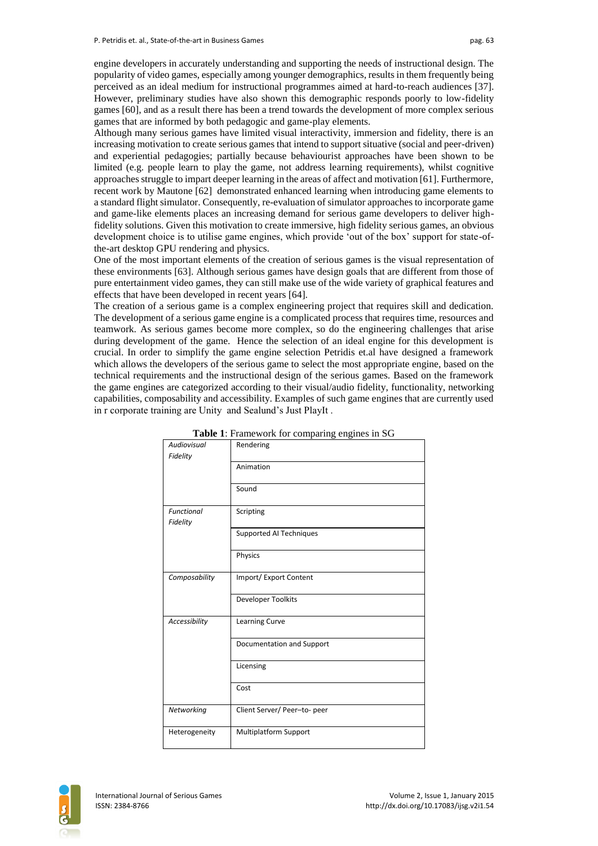engine developers in accurately understanding and supporting the needs of instructional design. The popularity of video games, especially among younger demographics, results in them frequently being perceived as an ideal medium for instructional programmes aimed at hard-to-reach audiences [37]. However, preliminary studies have also shown this demographic responds poorly to low-fidelity games [60], and as a result there has been a trend towards the development of more complex serious games that are informed by both pedagogic and game-play elements.

Although many serious games have limited visual interactivity, immersion and fidelity, there is an increasing motivation to create serious games that intend to support situative (social and peer-driven) and experiential pedagogies; partially because behaviourist approaches have been shown to be limited (e.g. people learn to play the game, not address learning requirements), whilst cognitive approaches struggle to impart deeper learning in the areas of affect and motivation [61]. Furthermore, recent work by Mautone [62] demonstrated enhanced learning when introducing game elements to a standard flight simulator. Consequently, re-evaluation of simulator approaches to incorporate game and game-like elements places an increasing demand for serious game developers to deliver highfidelity solutions. Given this motivation to create immersive, high fidelity serious games, an obvious development choice is to utilise game engines, which provide 'out of the box' support for state-ofthe-art desktop GPU rendering and physics.

One of the most important elements of the creation of serious games is the visual representation of these environments [63]. Although serious games have design goals that are different from those of pure entertainment video games, they can still make use of the wide variety of graphical features and effects that have been developed in recent years [64].

The creation of a serious game is a complex engineering project that requires skill and dedication. The development of a serious game engine is a complicated process that requires time, resources and teamwork. As serious games become more complex, so do the engineering challenges that arise during development of the game. Hence the selection of an ideal engine for this development is crucial. In order to simplify the game engine selection Petridis et.al have designed a framework which allows the developers of the serious game to select the most appropriate engine, based on the technical requirements and the instructional design of the serious games. Based on the framework the game engines are categorized according to their visual/audio fidelity, functionality, networking capabilities, composability and accessibility. Examples of such game engines that are currently used in r corporate training are Unity and Sealund's Just PlayIt .

| Audiovisual       | <b>radio</b> 1. Francwork for comparing engines in SO<br>Rendering |  |  |  |  |
|-------------------|--------------------------------------------------------------------|--|--|--|--|
| Fidelity          |                                                                    |  |  |  |  |
|                   | Animation                                                          |  |  |  |  |
|                   |                                                                    |  |  |  |  |
|                   | Sound                                                              |  |  |  |  |
| <b>Functional</b> | Scripting                                                          |  |  |  |  |
| Fidelity          |                                                                    |  |  |  |  |
|                   | Supported AI Techniques                                            |  |  |  |  |
|                   | Physics                                                            |  |  |  |  |
| Composability     | Import/Export Content                                              |  |  |  |  |
|                   | Developer Toolkits                                                 |  |  |  |  |
| Accessibility     | Learning Curve                                                     |  |  |  |  |
|                   | Documentation and Support                                          |  |  |  |  |
|                   | Licensing                                                          |  |  |  |  |
|                   | Cost                                                               |  |  |  |  |
| Networking        | Client Server/ Peer-to- peer                                       |  |  |  |  |
| Heterogeneity     | <b>Multiplatform Support</b>                                       |  |  |  |  |

| <b>Table 1:</b> Framework for comparing engines in SG |  |  |
|-------------------------------------------------------|--|--|
|                                                       |  |  |

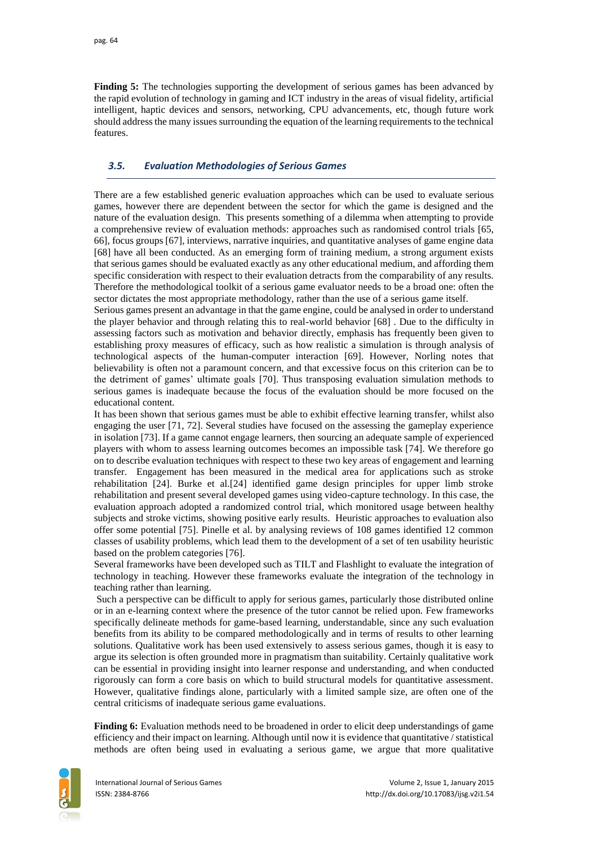**Finding 5:** The technologies supporting the development of serious games has been advanced by the rapid evolution of technology in gaming and ICT industry in the areas of visual fidelity, artificial intelligent, haptic devices and sensors, networking, CPU advancements, etc, though future work should address the many issues surrounding the equation of the learning requirements to the technical features.

### *3.5. Evaluation Methodologies of Serious Games*

There are a few established generic evaluation approaches which can be used to evaluate serious games, however there are dependent between the sector for which the game is designed and the nature of the evaluation design. This presents something of a dilemma when attempting to provide a comprehensive review of evaluation methods: approaches such as randomised control trials [65, 66], focus groups [67], interviews, narrative inquiries, and quantitative analyses of game engine data [68] have all been conducted. As an emerging form of training medium, a strong argument exists that serious games should be evaluated exactly as any other educational medium, and affording them specific consideration with respect to their evaluation detracts from the comparability of any results. Therefore the methodological toolkit of a serious game evaluator needs to be a broad one: often the sector dictates the most appropriate methodology, rather than the use of a serious game itself.

Serious games present an advantage in that the game engine, could be analysed in order to understand the player behavior and through relating this to real-world behavior [68] . Due to the difficulty in assessing factors such as motivation and behavior directly, emphasis has frequently been given to establishing proxy measures of efficacy, such as how realistic a simulation is through analysis of technological aspects of the human-computer interaction [69]. However, Norling notes that believability is often not a paramount concern, and that excessive focus on this criterion can be to the detriment of games' ultimate goals [70]. Thus transposing evaluation simulation methods to serious games is inadequate because the focus of the evaluation should be more focused on the educational content.

It has been shown that serious games must be able to exhibit effective learning transfer, whilst also engaging the user [71, 72]. Several studies have focused on the assessing the gameplay experience in isolation [73]. If a game cannot engage learners, then sourcing an adequate sample of experienced players with whom to assess learning outcomes becomes an impossible task [74]. We therefore go on to describe evaluation techniques with respect to these two key areas of engagement and learning transfer. Engagement has been measured in the medical area for applications such as stroke rehabilitation [24]. Burke et al.[24] identified game design principles for upper limb stroke rehabilitation and present several developed games using video-capture technology. In this case, the evaluation approach adopted a randomized control trial, which monitored usage between healthy subjects and stroke victims, showing positive early results. Heuristic approaches to evaluation also offer some potential [75]. Pinelle et al. by analysing reviews of 108 games identified 12 common classes of usability problems, which lead them to the development of a set of ten usability heuristic based on the problem categories [76].

Several frameworks have been developed such as TILT and Flashlight to evaluate the integration of technology in teaching. However these frameworks evaluate the integration of the technology in teaching rather than learning.

Such a perspective can be difficult to apply for serious games, particularly those distributed online or in an e-learning context where the presence of the tutor cannot be relied upon. Few frameworks specifically delineate methods for game-based learning, understandable, since any such evaluation benefits from its ability to be compared methodologically and in terms of results to other learning solutions. Qualitative work has been used extensively to assess serious games, though it is easy to argue its selection is often grounded more in pragmatism than suitability. Certainly qualitative work can be essential in providing insight into learner response and understanding, and when conducted rigorously can form a core basis on which to build structural models for quantitative assessment. However, qualitative findings alone, particularly with a limited sample size, are often one of the central criticisms of inadequate serious game evaluations.

**Finding 6:** Evaluation methods need to be broadened in order to elicit deep understandings of game efficiency and their impact on learning. Although until now it is evidence that quantitative / statistical methods are often being used in evaluating a serious game, we argue that more qualitative

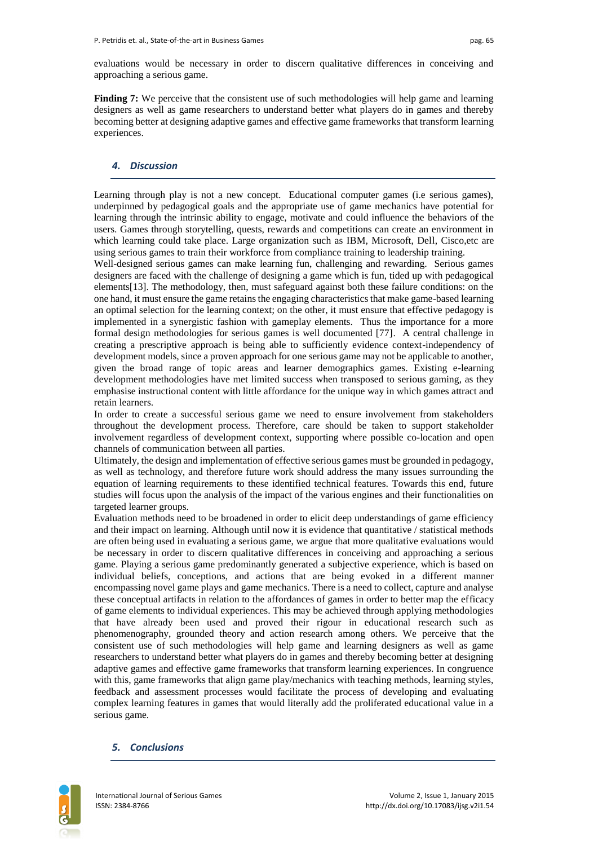evaluations would be necessary in order to discern qualitative differences in conceiving and approaching a serious game.

**Finding 7:** We perceive that the consistent use of such methodologies will help game and learning designers as well as game researchers to understand better what players do in games and thereby becoming better at designing adaptive games and effective game frameworks that transform learning experiences.

#### *4. Discussion*

Learning through play is not a new concept. Educational computer games (i.e serious games), underpinned by pedagogical goals and the appropriate use of game mechanics have potential for learning through the intrinsic ability to engage, motivate and could influence the behaviors of the users. Games through storytelling, quests, rewards and competitions can create an environment in which learning could take place. Large organization such as IBM, Microsoft, Dell, Cisco, etc are using serious games to train their workforce from compliance training to leadership training.

Well-designed serious games can make learning fun, challenging and rewarding. Serious games designers are faced with the challenge of designing a game which is fun, tided up with pedagogical elements[13]. The methodology, then, must safeguard against both these failure conditions: on the one hand, it must ensure the game retains the engaging characteristics that make game-based learning an optimal selection for the learning context; on the other, it must ensure that effective pedagogy is implemented in a synergistic fashion with gameplay elements. Thus the importance for a more formal design methodologies for serious games is well documented [77]. A central challenge in creating a prescriptive approach is being able to sufficiently evidence context-independency of development models, since a proven approach for one serious game may not be applicable to another, given the broad range of topic areas and learner demographics games. Existing e-learning development methodologies have met limited success when transposed to serious gaming, as they emphasise instructional content with little affordance for the unique way in which games attract and retain learners.

In order to create a successful serious game we need to ensure involvement from stakeholders throughout the development process. Therefore, care should be taken to support stakeholder involvement regardless of development context, supporting where possible co-location and open channels of communication between all parties.

Ultimately, the design and implementation of effective serious games must be grounded in pedagogy, as well as technology, and therefore future work should address the many issues surrounding the equation of learning requirements to these identified technical features. Towards this end, future studies will focus upon the analysis of the impact of the various engines and their functionalities on targeted learner groups.

Evaluation methods need to be broadened in order to elicit deep understandings of game efficiency and their impact on learning. Although until now it is evidence that quantitative / statistical methods are often being used in evaluating a serious game, we argue that more qualitative evaluations would be necessary in order to discern qualitative differences in conceiving and approaching a serious game. Playing a serious game predominantly generated a subjective experience, which is based on individual beliefs, conceptions, and actions that are being evoked in a different manner encompassing novel game plays and game mechanics. There is a need to collect, capture and analyse these conceptual artifacts in relation to the affordances of games in order to better map the efficacy of game elements to individual experiences. This may be achieved through applying methodologies that have already been used and proved their rigour in educational research such as phenomenography, grounded theory and action research among others. We perceive that the consistent use of such methodologies will help game and learning designers as well as game researchers to understand better what players do in games and thereby becoming better at designing adaptive games and effective game frameworks that transform learning experiences. In congruence with this, game frameworks that align game play/mechanics with teaching methods, learning styles, feedback and assessment processes would facilitate the process of developing and evaluating complex learning features in games that would literally add the proliferated educational value in a serious game.

#### *5. Conclusions*

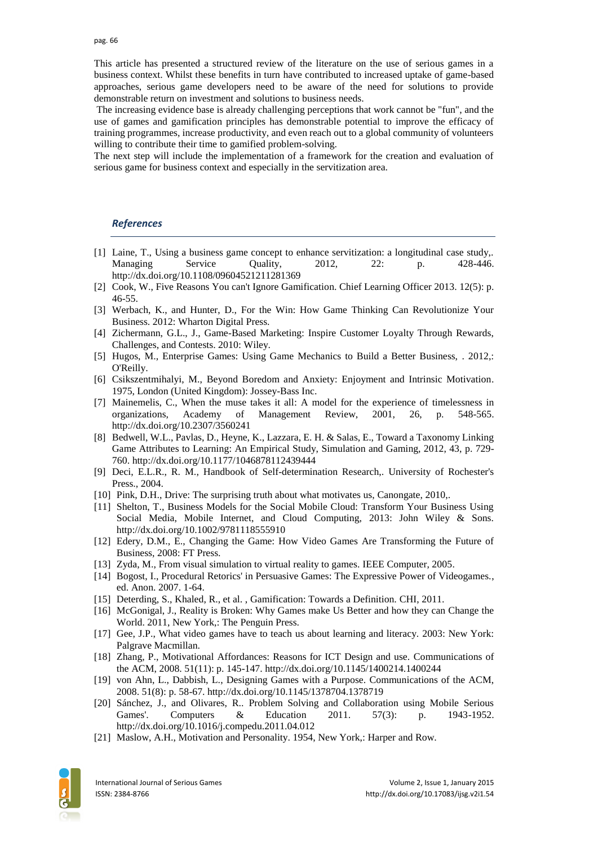This article has presented a structured review of the literature on the use of serious games in a business context. Whilst these benefits in turn have contributed to increased uptake of game-based approaches, serious game developers need to be aware of the need for solutions to provide demonstrable return on investment and solutions to business needs.

The increasing evidence base is already challenging perceptions that work cannot be "fun", and the use of games and gamification principles has demonstrable potential to improve the efficacy of training programmes, increase productivity, and even reach out to a global community of volunteers willing to contribute their time to gamified problem-solving.

The next step will include the implementation of a framework for the creation and evaluation of serious game for business context and especially in the servitization area.

#### *References*

- [1] Laine, T., Using a business game concept to enhance servitization: a longitudinal case study,. Managing Service Quality, 2012, 22: p. 428-446. http://dx.doi.org/10.1108/09604521211281369
- [2] Cook, W., Five Reasons You can't Ignore Gamification. Chief Learning Officer 2013. 12(5): p. 46-55.
- [3] Werbach, K., and Hunter, D., For the Win: How Game Thinking Can Revolutionize Your Business. 2012: Wharton Digital Press.
- [4] Zichermann, G.L., J., Game-Based Marketing: Inspire Customer Loyalty Through Rewards, Challenges, and Contests. 2010: Wiley.
- [5] Hugos, M., Enterprise Games: Using Game Mechanics to Build a Better Business, . 2012,: O'Reilly.
- [6] Csikszentmihalyi, M., Beyond Boredom and Anxiety: Enjoyment and Intrinsic Motivation. 1975, London (United Kingdom): Jossey-Bass Inc.
- [7] Mainemelis, C., When the muse takes it all: A model for the experience of timelessness in organizations, Academy of Management Review, 2001, 26, p. 548-565. http://dx.doi.org/10.2307/3560241
- [8] Bedwell, W.L., Pavlas, D., Heyne, K., Lazzara, E. H. & Salas, E., Toward a Taxonomy Linking Game Attributes to Learning: An Empirical Study, Simulation and Gaming, 2012, 43, p. 729- 760. http://dx.doi.org/10.1177/1046878112439444
- [9] Deci, E.L.R., R. M., Handbook of Self-determination Research,. University of Rochester's Press., 2004.
- [10] Pink, D.H., Drive: The surprising truth about what motivates us, Canongate, 2010,.
- [11] Shelton, T., Business Models for the Social Mobile Cloud: Transform Your Business Using Social Media, Mobile Internet, and Cloud Computing, 2013: John Wiley & Sons. http://dx.doi.org/10.1002/9781118555910
- [12] Edery, D.M., E., Changing the Game: How Video Games Are Transforming the Future of Business, 2008: FT Press.
- [13] Zyda, M., From visual simulation to virtual reality to games. IEEE Computer, 2005.
- [14] Bogost, I., Procedural Retorics' in Persuasive Games: The Expressive Power of Videogames., ed. Anon. 2007. 1-64.
- [15] Deterding, S., Khaled, R., et al. , Gamification: Towards a Definition. CHI, 2011.
- [16] McGonigal, J., Reality is Broken: Why Games make Us Better and how they can Change the World. 2011, New York,: The Penguin Press.
- [17] Gee, J.P., What video games have to teach us about learning and literacy. 2003: New York: Palgrave Macmillan.
- [18] Zhang, P., Motivational Affordances: Reasons for ICT Design and use. Communications of the ACM, 2008. 51(11): p. 145-147. http://dx.doi.org/10.1145/1400214.1400244
- [19] von Ahn, L., Dabbish, L., Designing Games with a Purpose. Communications of the ACM, 2008. 51(8): p. 58-67. http://dx.doi.org/10.1145/1378704.1378719
- [20] Sánchez, J., and Olivares, R.. Problem Solving and Collaboration using Mobile Serious Games'. Computers & Education 2011. 57(3): p. 1943-1952. http://dx.doi.org/10.1016/j.compedu.2011.04.012
- [21] Maslow, A.H., Motivation and Personality. 1954, New York,: Harper and Row.

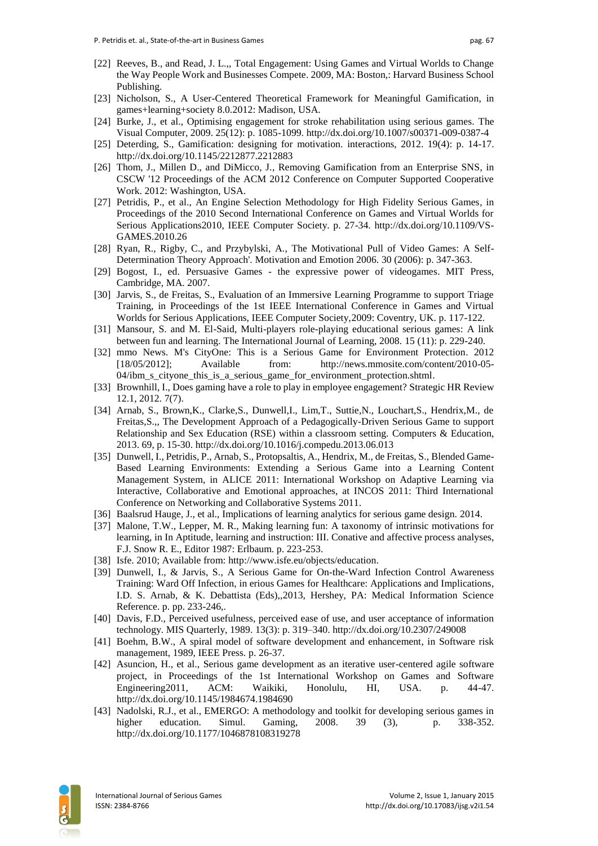- [22] Reeves, B., and Read, J. L.,, Total Engagement: Using Games and Virtual Worlds to Change the Way People Work and Businesses Compete. 2009, MA: Boston,: Harvard Business School Publishing.
- [23] Nicholson, S., A User-Centered Theoretical Framework for Meaningful Gamification, in games+learning+society 8.0.2012: Madison, USA.
- [24] Burke, J., et al., Optimising engagement for stroke rehabilitation using serious games. The Visual Computer, 2009. 25(12): p. 1085-1099. http://dx.doi.org/10.1007/s00371-009-0387-4
- [25] Deterding, S., Gamification: designing for motivation. interactions, 2012. 19(4): p. 14-17. http://dx.doi.org/10.1145/2212877.2212883
- [26] Thom, J., Millen D., and DiMicco, J., Removing Gamification from an Enterprise SNS, in CSCW '12 Proceedings of the ACM 2012 Conference on Computer Supported Cooperative Work. 2012: Washington, USA.
- [27] Petridis, P., et al., An Engine Selection Methodology for High Fidelity Serious Games, in Proceedings of the 2010 Second International Conference on Games and Virtual Worlds for Serious Applications2010, IEEE Computer Society. p. 27-34. http://dx.doi.org/10.1109/VS-GAMES.2010.26
- [28] Ryan, R., Rigby, C., and Przybylski, A., The Motivational Pull of Video Games: A Self-Determination Theory Approach'. Motivation and Emotion 2006. 30 (2006): p. 347-363.
- [29] Bogost, I., ed. Persuasive Games the expressive power of videogames. MIT Press, Cambridge, MA. 2007.
- [30] Jarvis, S., de Freitas, S., Evaluation of an Immersive Learning Programme to support Triage Training, in Proceedings of the 1st IEEE International Conference in Games and Virtual Worlds for Serious Applications, IEEE Computer Society,2009: Coventry, UK. p. 117-122.
- [31] Mansour, S. and M. El-Said, Multi-players role-playing educational serious games: A link between fun and learning. The International Journal of Learning, 2008. 15 (11): p. 229-240.
- [32] mmo News. M's CityOne: This is a Serious Game for Environment Protection. 2012 [18/05/2012]; Available from: [http://news.mmosite.com/content/2010-05-](http://news.mmosite.com/content/2010-05-04/ibm_s_cityone_this_is_a_serious_game_for_environment_protection.shtml) [04/ibm\\_s\\_cityone\\_this\\_is\\_a\\_serious\\_game\\_for\\_environment\\_protection.shtml.](http://news.mmosite.com/content/2010-05-04/ibm_s_cityone_this_is_a_serious_game_for_environment_protection.shtml)
- [33] Brownhill, I., Does gaming have a role to play in employee engagement? Strategic HR Review 12.1, 2012. 7(7).
- [34] Arnab, S., Brown,K., Clarke,S., Dunwell,I., Lim,T., Suttie,N., Louchart,S., Hendrix,M., de Freitas,S.,, The Development Approach of a Pedagogically-Driven Serious Game to support Relationship and Sex Education (RSE) within a classroom setting. Computers & Education, 2013. 69, p. 15-30. http://dx.doi.org/10.1016/j.compedu.2013.06.013
- [35] Dunwell, I., Petridis, P., Arnab, S., Protopsaltis, A., Hendrix, M., de Freitas, S., Blended Game-Based Learning Environments: Extending a Serious Game into a Learning Content Management System, in ALICE 2011: International Workshop on Adaptive Learning via Interactive, Collaborative and Emotional approaches, at INCOS 2011: Third International Conference on Networking and Collaborative Systems 2011.
- [36] Baalsrud Hauge, J., et al., Implications of learning analytics for serious game design. 2014.
- [37] Malone, T.W., Lepper, M. R., Making learning fun: A taxonomy of intrinsic motivations for learning, in In Aptitude, learning and instruction: III. Conative and affective process analyses, F.J. Snow R. E., Editor 1987: Erlbaum. p. 223-253.
- [38] Isfe. 2010; Available from: [http://www.isfe.eu/objects/education.](http://www.isfe.eu/objects/education)
- [39] Dunwell, I., & Jarvis, S., A Serious Game for On-the-Ward Infection Control Awareness Training: Ward Off Infection, in erious Games for Healthcare: Applications and Implications, I.D. S. Arnab, & K. Debattista (Eds),,2013, Hershey, PA: Medical Information Science Reference. p. pp. 233-246,.
- [40] Davis, F.D., Perceived usefulness, perceived ease of use, and user acceptance of information technology. MIS Quarterly, 1989. 13(3): p. 319–340. http://dx.doi.org/10.2307/249008
- [41] Boehm, B.W., A spiral model of software development and enhancement, in Software risk management, 1989, IEEE Press. p. 26-37.
- [42] Asuncion, H., et al., Serious game development as an iterative user-centered agile software project, in Proceedings of the 1st International Workshop on Games and Software Engineering2011, ACM: Waikiki, Honolulu, HI, USA. p. 44-47. http://dx.doi.org/10.1145/1984674.1984690
- [43] Nadolski, R.J., et al., EMERGO: A methodology and toolkit for developing serious games in higher education. Simul. Gaming, 2008. 39 (3), p. 338-352. http://dx.doi.org/10.1177/1046878108319278

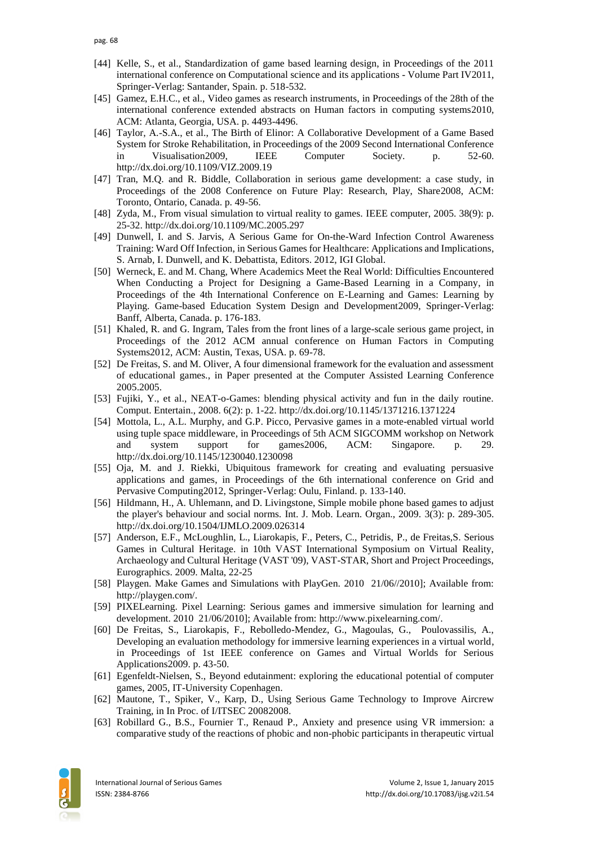- [44] Kelle, S., et al., Standardization of game based learning design, in Proceedings of the 2011 international conference on Computational science and its applications - Volume Part IV2011, Springer-Verlag: Santander, Spain. p. 518-532.
- [45] Gamez, E.H.C., et al., Video games as research instruments, in Proceedings of the 28th of the international conference extended abstracts on Human factors in computing systems2010, ACM: Atlanta, Georgia, USA. p. 4493-4496.
- [46] Taylor, A.-S.A., et al., The Birth of Elinor: A Collaborative Development of a Game Based System for Stroke Rehabilitation, in Proceedings of the 2009 Second International Conference in Visualisation2009, IEEE Computer Society. p. 52-60. http://dx.doi.org/10.1109/VIZ.2009.19
- [47] Tran, M.Q. and R. Biddle, Collaboration in serious game development: a case study, in Proceedings of the 2008 Conference on Future Play: Research, Play, Share2008, ACM: Toronto, Ontario, Canada. p. 49-56.
- [48] Zyda, M., From visual simulation to virtual reality to games. IEEE computer, 2005. 38(9): p. 25-32. http://dx.doi.org/10.1109/MC.2005.297
- [49] Dunwell, I. and S. Jarvis, A Serious Game for On-the-Ward Infection Control Awareness Training: Ward Off Infection, in Serious Games for Healthcare: Applications and Implications, S. Arnab, I. Dunwell, and K. Debattista, Editors. 2012, IGI Global.
- [50] Werneck, E. and M. Chang, Where Academics Meet the Real World: Difficulties Encountered When Conducting a Project for Designing a Game-Based Learning in a Company, in Proceedings of the 4th International Conference on E-Learning and Games: Learning by Playing. Game-based Education System Design and Development2009, Springer-Verlag: Banff, Alberta, Canada. p. 176-183.
- [51] Khaled, R. and G. Ingram, Tales from the front lines of a large-scale serious game project, in Proceedings of the 2012 ACM annual conference on Human Factors in Computing Systems2012, ACM: Austin, Texas, USA. p. 69-78.
- [52] De Freitas, S. and M. Oliver, A four dimensional framework for the evaluation and assessment of educational games., in Paper presented at the Computer Assisted Learning Conference 2005.2005.
- [53] Fujiki, Y., et al., NEAT-o-Games: blending physical activity and fun in the daily routine. Comput. Entertain., 2008. 6(2): p. 1-22. http://dx.doi.org/10.1145/1371216.1371224
- [54] Mottola, L., A.L. Murphy, and G.P. Picco, Pervasive games in a mote-enabled virtual world using tuple space middleware, in Proceedings of 5th ACM SIGCOMM workshop on Network and system support for games2006, ACM: Singapore. p. 29. http://dx.doi.org/10.1145/1230040.1230098
- [55] Oja, M. and J. Riekki, Ubiquitous framework for creating and evaluating persuasive applications and games, in Proceedings of the 6th international conference on Grid and Pervasive Computing2012, Springer-Verlag: Oulu, Finland. p. 133-140.
- [56] Hildmann, H., A. Uhlemann, and D. Livingstone, Simple mobile phone based games to adjust the player's behaviour and social norms. Int. J. Mob. Learn. Organ., 2009. 3(3): p. 289-305. http://dx.doi.org/10.1504/IJMLO.2009.026314
- [57] Anderson, E.F., McLoughlin, L., Liarokapis, F., Peters, C., Petridis, P., de Freitas,S. Serious Games in Cultural Heritage. in 10th VAST International Symposium on Virtual Reality, Archaeology and Cultural Heritage (VAST '09), VAST-STAR, Short and Project Proceedings, Eurographics. 2009. Malta, 22-25
- [58] Playgen. Make Games and Simulations with PlayGen. 2010 21/06//2010]; Available from: [http://playgen.com/.](http://playgen.com/)
- [59] PIXELearning. Pixel Learning: Serious games and immersive simulation for learning and development. 2010 21/06/2010]; Available from: [http://www.pixelearning.com/.](http://www.pixelearning.com/)
- [60] De Freitas, S., Liarokapis, F., Rebolledo-Mendez, G., Magoulas, G., Poulovassilis, A., Developing an evaluation methodology for immersive learning experiences in a virtual world, in Proceedings of 1st IEEE conference on Games and Virtual Worlds for Serious Applications2009. p. 43-50.
- [61] Egenfeldt-Nielsen, S., Beyond edutainment: exploring the educational potential of computer games, 2005, IT-University Copenhagen.
- [62] Mautone, T., Spiker, V., Karp, D., Using Serious Game Technology to Improve Aircrew Training, in In Proc. of I/ITSEC 20082008.
- [63] Robillard G., B.S., Fournier T., Renaud P., Anxiety and presence using VR immersion: a comparative study of the reactions of phobic and non-phobic participants in therapeutic virtual